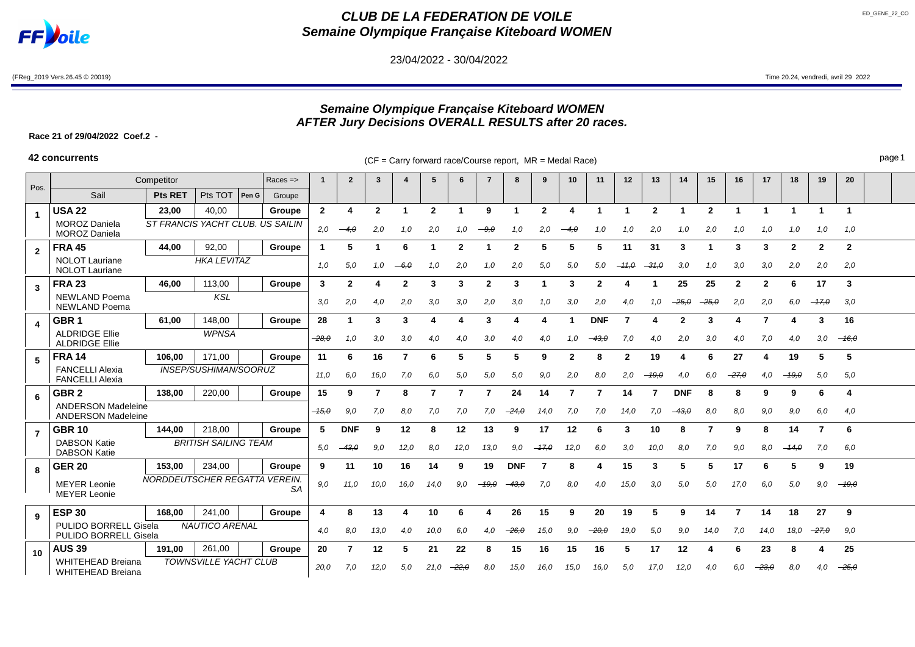

# **CLUB DE LA FEDERATION DE VOILE Semaine Olympique Française Kiteboard WOMEN**

23/04/2022 - 30/04/2022

(FReg\_2019 Vers.26.45 © 20019) Time 20.24, vendredi, avril 29 2022

## **Semaine Olympique Française Kiteboard WOMEN AFTER Jury Decisions OVERALL RESULTS after 20 races.**

**Race 21 of 29/04/2022 Coef.2 -**

**42 concurrents** example the carry forward race/Course report, MR = Medal Race) page 1

| Pos.                                                                                  | Competitor<br>$Races = >$                                                     |                                     |                 |      |        |              | $\mathbf{2}$ | 3            | 4              | 5            | 6            | $\overline{7}$ | 8          | 9              | 10           | 11           | 12           | 13             | 14         | 15           | 16           | 17           | 18           | 19           | 20             |  |
|---------------------------------------------------------------------------------------|-------------------------------------------------------------------------------|-------------------------------------|-----------------|------|--------|--------------|--------------|--------------|----------------|--------------|--------------|----------------|------------|----------------|--------------|--------------|--------------|----------------|------------|--------------|--------------|--------------|--------------|--------------|----------------|--|
|                                                                                       | Sail                                                                          | <b>Pts RET</b>                      | Pts TOT   Pen G |      | Groupe |              |              |              |                |              |              |                |            |                |              |              |              |                |            |              |              |              |              |              |                |  |
| $\blacktriangleleft$                                                                  | <b>USA 22</b>                                                                 | 23.00                               | 40,00           |      | Groupe | $\mathbf{2}$ |              | $\mathbf{2}$ | -1             | $\mathbf{2}$ |              | 9              |            | $\overline{2}$ | Δ            |              |              | $\overline{2}$ |            | $\mathbf{2}$ |              |              |              |              | $\overline{1}$ |  |
|                                                                                       | <b>MOROZ Daniela</b><br><b>MOROZ Daniela</b>                                  | ST FRANCIS YACHT CLUB. US SAILIN    |                 |      |        | 2,0          | $-4, \theta$ | 2,0          | 1.0            | 2,0          | 1.0          | -- 9.0         | 1.0        | 2,0            |              | 1.0          | 1,0          | 2,0            | 1.0        | 2,0          | 1.0          | 1,0          | 1.0          | 1.0          | 1,0            |  |
| $\overline{2}$                                                                        | <b>FRA 45</b>                                                                 | 44,00                               | 92,00           |      | Groupe | -1           | 5            |              | 6              |              | $\mathbf{2}$ |                | 2          | 5              | 5            | 5            | 11           | 31             | 3          |              | 3            | 3            | $\mathbf{2}$ | $\mathbf{2}$ | $\overline{2}$ |  |
|                                                                                       | <b>HKA LEVITAZ</b><br><b>NOLOT</b> Lauriane<br><b>NOLOT Lauriane</b>          |                                     |                 |      |        |              | 5,0          | 1.0          | $-6.0$         | 1.0          | 2,0          | 1.0            | 2.0        | 5,0            | 5,0          | 5,0          | $-11,0$      | $-31,0$        | 3,0        | 1.0          | 3,0          | 3,0          | 2,0          | 2,0          | 2,0            |  |
| 3                                                                                     | <b>FRA 23</b>                                                                 | 46.00                               | 113,00          |      | Groupe | $\mathbf{3}$ | $\mathbf{2}$ | 4            | $\overline{2}$ | 3            | 3            | $\mathbf{2}$   | 3          |                | 3            | $\mathbf{2}$ | Δ            |                | 25         | 25           | $\mathbf{2}$ | $\mathbf{2}$ | 6            | 17           | 3              |  |
|                                                                                       | <b>NEWLAND Poema</b><br><b>KSL</b><br><b>NEWLAND Poema</b>                    |                                     |                 |      |        | 3,0          | 2,0          | 4,0          | 2,0            | 3,0          | 3,0          | 2,0            | 3,0        | 1,0            | 3,0          | 2,0          | 4,0          | 1.0            | $-25, 0$   | $-25,0$      | 2,0          | 2,0          | 6,0          | $-17,0$      | 3,0            |  |
|                                                                                       | GBR <sub>1</sub>                                                              | 61,00                               | 148,00          |      | Groupe | 28           |              | 3            | 3              |              |              | 3              |            |                |              | <b>DNF</b>   |              |                |            | 3            |              |              |              | 3            | 16             |  |
|                                                                                       | <b>ALDRIDGE Ellie</b><br><b>WPNSA</b><br><b>ALDRIDGE Ellie</b>                |                                     |                 |      |        | $-28.0$      | 1,0          | 3,0          | 3,0            | 4.0          | 4,0          | 3,0            | 4.0        | 4.0            | 1.0          | $-43,0$      | 7,0          | 4.0            | 2,0        | 3,0          | 4.0          | 7,0          | 4.0          | 3,0          | $-16,0$        |  |
| 5                                                                                     | <b>FRA 14</b>                                                                 | 106,00                              | 171,00          |      | Groupe | 11           | 6            | 16           | 7              | 6            | 5            | 5              | 5          | 9              | $\mathbf{2}$ | 8            | $\mathbf{2}$ | 19             |            | 6            | 27           |              | 19           | 5            | 5              |  |
|                                                                                       | <b>FANCELLI Alexia</b><br><b>FANCELLI Alexia</b>                              | INSEP/SUSHIMAN/SOORUZ               |                 |      |        |              |              | 16,0         | 7,0            | 6,0          | 5,0          | 5,0            | 5,0        | 9.0            | 2,0          | 8,0          | 2,0          | 19.0           | 4.0        | 6.0          | -27.0        | 4,0          | $-19.0$      | 5,0          | 5,0            |  |
| 6                                                                                     | GBR <sub>2</sub>                                                              | 138.00                              | 220,00          |      | Groupe | 15           | 9            |              | 8              | 7            |              | 7              | 24         | 14             | 7            | 7            | 14           |                | <b>DNF</b> | 8            | 8            | 9            | 9            | 6            | 4              |  |
|                                                                                       | <b>ANDERSON Madeleine</b><br><b>ANDERSON Madeleine</b>                        |                                     |                 |      |        | $-15,0$      | 9,0          | 7,0          | 8,0            | 7,0          | 7,0          | 7,0            | $-24,0$    | 14,0           | 7,0          | 7,0          | 14,0         | 7,0            | $-43,0$    | 8.0          | 8,0          | 9,0          | 9,0          | 6.0          | 4,0            |  |
| $\overline{7}$                                                                        | <b>GBR 10</b>                                                                 | 144.00                              | 218,00          |      | Groupe | 5            | <b>DNF</b>   | 9            | 12             | 8            | 12           | 13             | 9          | 17             | 12           | 6            | 3            | 10             | 8          | 7            | 9            |              | 14           |              | 6              |  |
|                                                                                       | <b>BRITISH SAILING TEAM</b><br><b>DABSON Katie</b><br><b>DABSON Katie</b>     |                                     |                 |      |        |              | 43.0         | 9.0          | 12,0           | 8.0          | 12,0         | 13,0           | 9,0        | $-17.0$        | 12,0         | 6.0          | 3,0          | 10.0           | 8.0        | 7.0          | 9.0          | 8.0          | $-14.0$      | 7.0          | 6.0            |  |
| 8                                                                                     | <b>GER 20</b>                                                                 | 153,00                              | 234,00          |      | Groupe | 9            | 11           | 10           | 16             | 14           | 9            | 19             | <b>DNF</b> |                | 8            |              | 15           | 3              | 5          | 5            | 17           | 6            | 5            | 9            | 19             |  |
|                                                                                       | <b>MEYER Leonie</b><br><b>MEYER Leonie</b>                                    | NORDDEUTSCHER REGATTA VEREIN.<br>SΑ | 9,0             | 11,0 | 10,0   | 16,0         | 14,0         | 9,0          | $-19,0$        | 43,0         | 7,0          | 8,0            | 4,0        | 15,0           | 3,0          | 5,0          | 5,0          | 17,0           | 6,0        | 5,0          | 9,0          | $-19,0$      |              |              |                |  |
| 9                                                                                     | <b>ESP 30</b>                                                                 | 168.00                              | 241,00          |      | Groupe |              | 8            | 13           |                | 10           |              |                | 26         | 15             | 9            | 20           | 19           |                | 9          | 14           | 7            | 14           | 18           | 27           | 9              |  |
| <b>PULIDO BORRELL Gisela</b><br><b>NAUTICO ARENAL</b><br><b>PULIDO BORRELL Gisela</b> |                                                                               |                                     |                 |      |        | 4,0          | 8.0          | 13,0         | 4,0            | 10,0         | 6.0          | 4.0            | $-26.0$    | 15.0           | 9.0          | $-20.0$      | 19,0         | 5,0            | 9.0        | 14,0         | 7,0          | 14.0         | 18,0         | $-27.0$      | 9,0            |  |
| 10                                                                                    | <b>AUS 39</b>                                                                 | 191,00                              | 261,00          |      | Groupe | 20           |              | 12           | 5              | 21           | 22           | 8              | 15         | 16             | 15           | 16           | 5            | 17             | 12         |              | 6            | 23           |              |              | 25             |  |
|                                                                                       | <b>TOWNSVILLE YACHT CLUB</b><br><b>WHITEHEAD Breiana</b><br>WHITEHEAD Breiana |                                     |                 |      | 20,0   | 7.0          | 12,0         | 5.0          | 21,0           | $-22,0$      | 8,0          | 15,0           | 16.0       | 15,0           | 16,0         | 5,0          | 17,0         | 12,0           | 4.0        | 6.0          | $-23.0$      | 8.0          | 4,0          | $-25.0$      |                |  |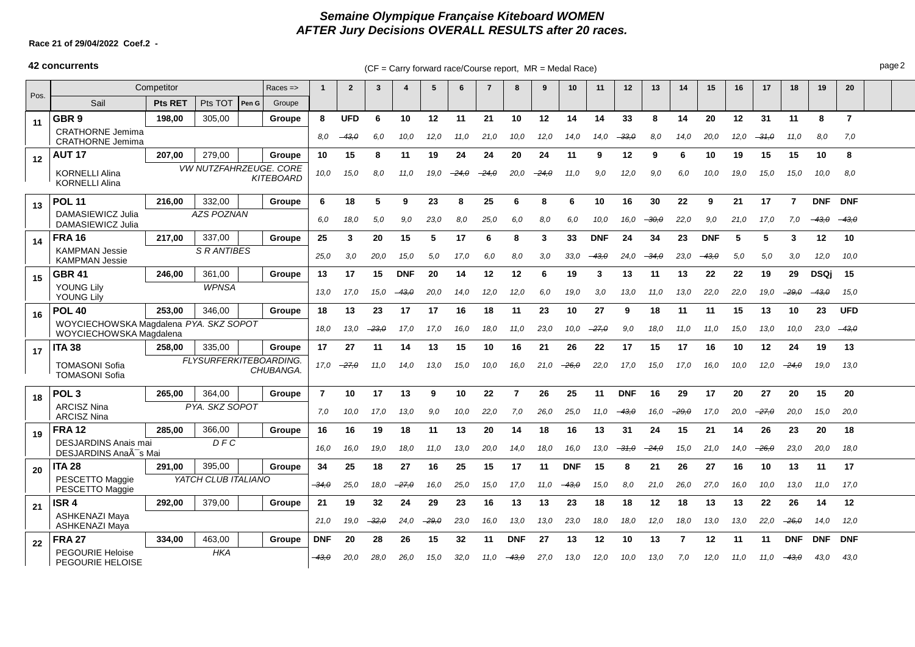## **Semaine Olympique Française Kiteboard WOMEN AFTER Jury Decisions OVERALL RESULTS after 20 races.**

### **Race 21 of 29/04/2022 Coef.2 -**

## **42 concurrents** extending the CF = Carry forward race/Course report, MR = Medal Race) page 2

|      | Competitor<br>$Races = >$                                                |                            |                                     |                  |         |            | $\overline{2}$ | 3       |            | 5       |         |      | 8               | -9   | 10         | 11              | 12         | 13      | 14      | 15         | 16    | -17     | 18         | 19            | 20             |  |
|------|--------------------------------------------------------------------------|----------------------------|-------------------------------------|------------------|---------|------------|----------------|---------|------------|---------|---------|------|-----------------|------|------------|-----------------|------------|---------|---------|------------|-------|---------|------------|---------------|----------------|--|
| Pos. | Sail                                                                     | <b>Pts RET</b>             | Pts TOT                             | Pen G            | Groupe  |            |                |         |            |         |         |      |                 |      |            |                 |            |         |         |            |       |         |            |               |                |  |
| 11   | GBR <sub>9</sub>                                                         | 198,00                     | 305,00                              |                  | Groupe  | 8          | <b>UFD</b>     | 6       | 10         | 12      | 11      | 21   | 10              | 12   | 14         | 14              | 33         | 8       | 14      | 20         | 12    | 31      | -11        | 8             | $\overline{7}$ |  |
|      | <b>CRATHORNE Jemima</b><br><b>CRATHORNE Jemima</b>                       |                            |                                     |                  |         | 8.0        | $-43.0$        | 6,0     | 10,0       | 12,0    | 11.0    | 21,0 | 10,0            | 12,0 | 14.0       | 14.0            | $-33.0$    | 8.0     | 14.0    | 20,0       | 12,0  | $-31.0$ | 11.0       | 8,0           | 7,0            |  |
| 12   | <b>AUT 17</b>                                                            | 207,00                     | 279,00                              |                  | Groupe  | 10         | 15             | 8       | 11         | 19      | 24      | 24   | 20              | 24   | 11         | 9               | 12         | 9       | 6       | 10         | 19    | 15      | 15         | 10            | 8              |  |
|      | <b>KORNELLI Alina</b><br><b>KORNELLI Alina</b>                           |                            | VW NUTZFAHRZEUGE. CORE              | <b>KITEBOARD</b> | 10,0    | 15,0       | 8,0            | 11.0    | 19.0       | $-24.0$ | $-24.0$ | 20,0 | $-24.0$         | 11,0 | 9.0        | 12,0            | 9.0        | 6.0     | 10.0    | 19,0       | 15.0  | 15.0    | 10,0       | 8,0           |                |  |
| 13   | <b>POL 11</b><br>216.00<br>332,00                                        |                            |                                     |                  | Groupe  | 6          | 18             | 5       | 9          | 23      | 8       | 25   | 6               | 8    | 6          | 10              | 16         | 30      | 22      | 9          | 21    | 17      | 7          | <b>DNF</b>    | <b>DNF</b>     |  |
|      | DAMASIEWICZ Julia<br>DAMASIEWICZ Julia                                   | <b>AZS POZNAN</b>          |                                     |                  |         |            | 18,0           | 5.0     | 9.0        | 23,0    | 8.0     | 25.0 | 6,0             | 8.0  | 6.0        | 10.0            | 16.0       | $-30,0$ | 22,0    | 9.0        | 21.0  | 17.0    | 7,0        | $-43.0$       | $-43,0$        |  |
| 14   | <b>FRA 16</b>                                                            | 217.00                     | 337,00                              |                  | Groupe  | 25         | 3              | 20      | 15         | 5       | 17      | 6    | 8               | 3    | 33         | <b>DNF</b>      | 24         | 34      | 23      | <b>DNF</b> | 5     | 5       | 3          | 12            | 10             |  |
|      | <b>KAMPMAN Jessie</b><br><b>S RANTIBES</b><br><b>KAMPMAN Jessie</b>      |                            |                                     |                  |         | 25,0       | 3.0            | 20,0    | 15,0       | 5,0     | 17.0    | 6.0  | 8.0             | 3.0  | 33,0       | <del>43.0</del> | 24.0       | $-34.0$ | 23.0    | $-43.0$    | 5.0   | 5.0     | 3,0        | 12,0          | 10,0           |  |
| 15   | <b>GBR 41</b>                                                            | 246.00                     | 361,00                              |                  | Groupe  | 13         | 17             | 15      | <b>DNF</b> | 20      | 14      | 12   | 12              | 6    | 19         | 3               | 13         | 11      | 13      | 22         | 22    | 19      | 29         | <b>DSQi</b>   | 15             |  |
|      | <b>YOUNG Lily</b><br><b>YOUNG Lilv</b>                                   | <b>WPNSA</b>               |                                     |                  |         |            |                |         | -43.0      | 20,0    | 14.0    | 12.0 | 12,0            | 6.0  | 19,0       | 3.0             | 13,0       | 11.0    | 13.0    | 22.0       | 22.0  | 19.0    | $-29,0$    | $-43, \theta$ | 15,0           |  |
| 16   | <b>POL 40</b>                                                            | 253,00                     | 346,00                              |                  | Groupe  | 18         | 13             | 23      | 17         | 17      | 16      | 18   | 11              | 23   | 10         | 27              | 9          | 18      | 11      | -11        | 15    | 13      | 10         | 23            | <b>UFD</b>     |  |
|      | WOYCIECHOWSKA Magdalena PYA. SKZ SOPOT<br>WOYCIECHOWSKA Magdalena        |                            |                                     |                  |         |            | 13.0           | $-23.0$ | 17,0       | 17,0    | 16.0    | 18,0 | 11,0            | 23.0 | 10,0       | $-27.0$         | 9,0        | 18,0    | 11.0    | 11.0       | 15,0  | 13,0    | 10,0       | 23,0          | $-43,0$        |  |
| 17   | <b>ITA 38</b>                                                            | 258.00<br>335,00<br>Groupe |                                     |                  |         |            | 27             | 11      | 14         | 13      | 15      | 10   | 16              | 21   | 26         | 22              | 17         | 15      | 17      | 16         | 10    | 12      | 24         | 19            | 13             |  |
|      | <b>TOMASONI Sofia</b><br><b>TOMASONI Sofia</b>                           |                            | FLYSURFERKITEBOARDING.<br>CHUBANGA. | 17,0             | $-27.0$ | 11,0       | 14.0           | 13,0    | 15,0       | 10,0    | 16.0    | 21.0 | -26.0           | 22.0 | 17.0       | 15,0            | 17.0       | 16,0    | 10.0    | 12.0       | -24.0 | 19,0    | 13,0       |               |                |  |
| 18   | POL <sub>3</sub>                                                         | 265,00                     | 364,00                              |                  | Groupe  | 7          | 10             | 17      | 13         | 9       | 10      | 22   | 7               | 26   | 25         | 11              | <b>DNF</b> | 16      | 29      | 17         | 20    | 27      | 20         | 15            | 20             |  |
|      | <b>ARCISZ Nina</b><br><b>ARCISZ Nina</b>                                 |                            | PYA. SKZ SOPOT                      |                  |         | 7.0        | 10.0           | 17,0    | 13,0       | 9.0     | 10,0    | 22.0 | 7.0             | 26,0 | 25,0       | 11.0            | $-43,0$    | 16.0    | $-29.0$ | 17.0       | 20.0  | $-27.0$ | 20.0       | 15,0          | 20,0           |  |
| 19   | <b>FRA12</b>                                                             | 285,00                     | 366,00                              |                  | Groupe  | 16         | 16             | 19      | 18         | 11      | 13      | 20   | 14              | 18   | 16         | 13              | 31         | 24      | 15      | 21         | 14    | 26      | 23         | 20            | 18             |  |
|      | <b>DESJARDINS Anais mai</b><br>DFC<br>DESJARDINS AnaÄ <sup>-</sup> s Mai |                            |                                     |                  |         |            | 16,0           | 19,0    | 18,0       | 11.0    | 13,0    | 20,0 | 14.0            | 18.0 | 16,0       | 13.0            | $-31,0$    | $-24.0$ | 15,0    | 21.0       | 14,0  | $-26.0$ | 23,0       | 20,0          | 18,0           |  |
| 20   | ITA 28                                                                   | 291.00                     | 395,00                              |                  | Groupe  | 34         | 25             | 18      | 27         | 16      | 25      | 15   | 17              | 11   | <b>DNF</b> | 15              | 8          | 21      | 26      | 27         | 16    | 10      | 13         | 11            | 17             |  |
|      | PESCETTO Maggie<br>PESCETTO Maggie                                       |                            | YATCH CLUB ITALIANO                 |                  |         | $-34.0$    | 25,0           | 18,0    | $-27.0$    | 16.0    | 25,0    | 15,0 | 17.0            | 11.0 | $-43,0$    | 15.0            | 8,0        | 21.0    | 26,0    | 27.0       | 16,0  | 10,0    | 13.0       | 11,0          | 17,0           |  |
| 21   | ISR 4                                                                    | 292,00                     | 379,00                              |                  | Groupe  | 21         | 19             | 32      | 24         | 29      | 23      | 16   | 13              | 13   | 23         | 18              | 18         | 12      | 18      | 13         | 13    | 22      | 26         | 14            | 12             |  |
|      | <b>ASHKENAZI Maya</b><br><b>ASHKENAZI Maya</b>                           |                            | 21.0                                | 19,0             | $-32.0$ | 24,0       | $-29.0$        | 23,0    | 16,0       | 13,0    | 13.0    | 23,0 | 18.0            | 18,0 | 12,0       | 18.0            | 13,0       | 13.0    | 22,0    | $-26,0$    | 14.0  | 12,0    |            |               |                |  |
| 22   | <b>FRA 27</b>                                                            | 334,00                     | 463,00                              |                  | Groupe  | <b>DNF</b> | 20             | 28      | 26         | 15      | 32      | 11   | <b>DNF</b>      | 27   | 13         | 12              | 10         | 13      | 7       | 12         | 11    | 11      | <b>DNF</b> | <b>DNF</b>    | <b>DNF</b>     |  |
|      | <b>HKA</b><br><b>PEGOURIE Heloise</b><br><b>PEGOURIE HELOISE</b>         |                            |                                     |                  |         | $-43.0$    | 20,0           | 28,0    | 26,0       | 15,0    | 32,0    | 11.0 | <del>43.0</del> | 27,0 | 13,0       | 12,0            | 10,0       | 13,0    | 7.0     | 12,0       | 11,0  | 11.0    | $-43,0$    | 43,0          | 43,0           |  |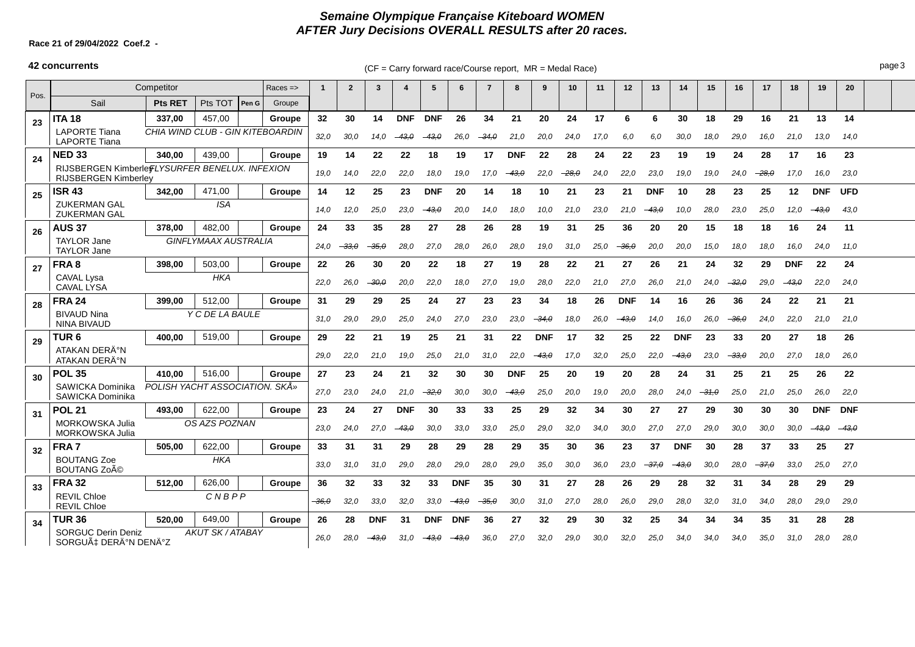## **Semaine Olympique Française Kiteboard WOMEN AFTER Jury Decisions OVERALL RESULTS after 20 races.**

### **Race 21 of 29/04/2022 Coef.2 -**

## **42 concurrents** extending the CF = Carry forward race/Course report, MR = Medal Race)

|      | Competitor<br>$Races = >$                                                      |                                  |               |         |         |      | $\overline{2}$ | 3          | $\boldsymbol{\Lambda}$ | -5         | 6          | 7               | 8          | q          | 10   | 11   | 12            | 13         | 14         | 15      | 16      | 17      | 18         | 19         | 20         |  |
|------|--------------------------------------------------------------------------------|----------------------------------|---------------|---------|---------|------|----------------|------------|------------------------|------------|------------|-----------------|------------|------------|------|------|---------------|------------|------------|---------|---------|---------|------------|------------|------------|--|
| Pos. | Sail                                                                           | <b>Pts RET</b>                   | Pts TOT       | Pen G   | Groupe  |      |                |            |                        |            |            |                 |            |            |      |      |               |            |            |         |         |         |            |            |            |  |
| 23   | <b>ITA 18</b>                                                                  | 337.00                           | 457.00        |         | Groupe  | 32   | 30             | 14         | <b>DNF</b>             | <b>DNF</b> | 26         | 34              | 21         | 20         | 24   | 17   | 6             | 6          | 30         | 18      | 29      | 16      | 21         | 13         | 14         |  |
|      | <b>LAPORTE Tiana</b><br><b>LAPORTE Tiana</b>                                   | CHIA WIND CLUB - GIN KITEBOARDIN |               |         |         | 32,0 | 30,0           | 14.0       | -43.0                  | $-43,0$    | 26,0       | $-34.0$         | 21,0       | 20,0       | 24,0 | 17.0 | 6,0           | 6,0        | 30,0       | 18,0    | 29,0    | 16,0    | 21,0       | 13,0       | 14,0       |  |
| 24   | <b>NED 33</b>                                                                  | 340.00                           | 439.00        |         | Groupe  | 19   | 14             | 22         | 22                     | 18         | 19         | 17              | <b>DNF</b> | 22         | 28   | 24   | 22            | 23         | 19         | 19      | 24      | 28      | 17         | 16         | 23         |  |
|      | RIJSBERGEN Kimberle FLYSURFER BENELUX. INFEXION<br><b>RIJSBERGEN Kimberley</b> |                                  |               | 19.0    | 14,0    | 22,0 | 22,0           | 18.0       | 19.0                   | 17.0       | -43.0      | 22,0            | -28.0      | 24,0       | 22,0 | 23,0 | 19,0          | 19,0       | 24.0       | $-28.0$ | 17.0    | 16,0    | 23,0       |            |            |  |
| 25   | <b>ISR 43</b>                                                                  | 342,00                           | 471.00        |         | Groupe  | 14   | 12             | 25         | 23                     | <b>DNF</b> | 20         | 14              | 18         | 10         | 21   | 23   | 21            | <b>DNF</b> | 10         | 28      | 23      | 25      | 12         | <b>DNF</b> | <b>UFD</b> |  |
|      | <b>ZUKERMAN GAL</b><br><b>ZUKERMAN GAL</b>                                     | <b>ISA</b>                       |               |         |         |      |                | 25,0       | 23,0                   | $-43,0$    | 20,0       | 14.0            | 18,0       | 10.0       | 21.0 | 23,0 | 21,0          | $-43,0$    | 10,0       | 28,0    | 23,0    | 25,0    | 12,0       | -43.0      | 43,0       |  |
| 26   | <b>AUS 37</b>                                                                  | 378.00                           | 482.00        |         | Groupe  | 24   | 33             | 35         | 28                     | 27         | 28         | 26              | 28         | 19         | 31   | 25   | 36            | 20         | 20         | 15      | 18      | 18      | 16         | 24         | 11         |  |
|      | <b>TAYLOR Jane</b><br><b>TAYLOR Jane</b>                                       | <b>GINFLYMAAX AUSTRALIA</b>      | 24.0          | $-33,0$ | $-35.0$ | 28,0 | 27,0           | 28,0       | 26,0                   | 28,0       | 19.0       | 31,0            | 25,0       | $-36,0$    | 20,0 | 20,0 | 15,0          | 18,0       | 18,0       | 16.0    | 24,0    | 11,0    |            |            |            |  |
| 27   | FRA8                                                                           | 398,00                           | 503,00        |         | Groupe  | 22   | 26             | 30         | 20                     | 22         | 18         | 27              | 19         | 28         | 22   | 21   | 27            | 26         | 21         | 24      | 32      | 29      | <b>DNF</b> | 22         | 24         |  |
|      | CAVAL Lysa<br><b>CAVAL LYSA</b>                                                |                                  | <b>HKA</b>    |         |         | 22.0 | 26,0           | $-30.0$    | 20,0                   | 22,0       | 18.0       | 27.0            | 19,0       | 28.0       | 22.0 | 21.0 | 27.0          | 26.0       | 21,0       | 24,0    | - 32.0  | 29,0    | $-43,0$    | 22.0       | 24,0       |  |
| 28   | <b>FRA 24</b>                                                                  | 399.00                           | 512,00        |         | Groupe  | 31   | 29             | 29         | 25                     | 24         | 27         | 23              | 23         | 34         | 18   | 26   | <b>DNF</b>    | 14         | 16         | 26      | 36      | 24      | 22         | 21         | 21         |  |
|      | <b>BIVAUD Nina</b><br><b>NINA BIVAUD</b>                                       | Y C DE LA BAULE                  |               |         |         |      | 29,0           | 29,0       | 25,0                   | 24,0       | 27,0       | 23.0            | 23,0       | $-34.0$    | 18,0 | 26,0 | $-43, \theta$ | 14,0       | 16,0       | 26,0    | $-36.0$ | 24,0    | 22,0       | 21,0       | 21,0       |  |
| 29   | TUR 6                                                                          | 519.00<br>400.00<br>Groupe       |               |         |         |      | 22             | 21         | 19                     | 25         | 21         | 31              | 22         | <b>DNF</b> | 17   | 32   | 25            | 22         | <b>DNF</b> | 23      | 33      | 20      | 27         | 18         | 26         |  |
|      | ATAKAN DERİN<br>ATAKAN DERİN                                                   |                                  |               |         |         | 29,0 | 22,0           | 21,0       | 19,0                   | 25,0       | 21.0       | 31.0            | 22.0       | $-43.0$    | 17.0 | 32.0 | 25,0          | 22,0       | -43.0      | 23,0    | -33.0   | 20,0    | 27.0       | 18,0       | 26,0       |  |
| 30   | <b>POL 35</b>                                                                  | 410.00                           | 516.00        |         | Groupe  | 27   | 23             | 24         | 21                     | 32         | 30         | 30              | <b>DNF</b> | 25         | 20   | 19   | 20            | 28         | 24         | 31      | 25      | 21      | 25         | 26         | 22         |  |
|      | SAWICKA Dominika<br>SAWICKA Dominika                                           | POLISH YACHT ASSOCIATION. SKÅ»   |               |         |         | 27,0 | 23,0           | 24,0       | 21,0                   | $-32,0$    | 30,0       | 30,0            | $-43.0$    | 25,0       | 20,0 | 19,0 | 20,0          | 28,0       | 24,0       | $-31,0$ | 25,0    | 21,0    | 25,0       | 26,0       | 22,0       |  |
| 31   | <b>POL 21</b>                                                                  | 493.00                           | 622,00        |         | Groupe  | 23   | 24             | 27         | <b>DNF</b>             | 30         | 33         | 33              | 25         | 29         | 32   | 34   | 30            | 27         | 27         | 29      | 30      | 30      | 30         | <b>DNF</b> | <b>DNF</b> |  |
|      | <b>MORKOWSKA Julia</b><br><b>MORKOWSKA Julia</b>                               |                                  | OS AZS POZNAN |         | 23,0    | 24,0 | 27,0           | -43.0      | 30,0                   | 33,0       | 33.0       | 25,0            | 29,0       | 32,0       | 34,0 | 30,0 | 27.0          | 27,0       | 29,0       | 30.0    | 30,0    | 30,0    | $-43.0$    | $-43,0$    |            |  |
| 32   | FRA7                                                                           | 505.00                           | 622,00        |         | Groupe  | 33   | 31             | 31         | 29                     | 28         | 29         | 28              | 29         | 35         | 30   | 36   | 23            | 37         | <b>DNF</b> | 30      | 28      | 37      | 33         | 25         | 27         |  |
|      | <b>BOUTANG Zoe</b><br>BOUTANG Zoé                                              | <b>HKA</b>                       |               |         |         |      |                | 31.0       | 29,0                   | 28,0       | 29,0       | 28,0            | 29,0       | 35,0       | 30,0 | 36.0 | 23,0          | $-37.0$    | - 43.0     | 30.0    | 28,0    | $-37.0$ | 33.0       | 25,0       | 27,0       |  |
| 33   | <b>FRA 32</b>                                                                  | 512,00                           | 626,00        |         | Groupe  | 36   | 32             | 33         | 32                     | 33         | <b>DNF</b> | 35              | 30         | 31         | 27   | 28   | 26            | 29         | 28         | 32      | 31      | 34      | 28         | 29         | 29         |  |
|      | <b>REVIL Chloe</b><br>CNBPP<br><b>REVIL Chloe</b>                              |                                  |               |         |         |      | 32,0           | 33,0       | 32,0                   | 33,0       | $-43,0$    | <del>35.0</del> | 30,0       | 31.0       | 27,0 | 28.0 | 26,0          | 29,0       | 28,0       | 32,0    | 31,0    | 34,0    | 28,0       | 29,0       | 29,0       |  |
| 34   | <b>TUR 36</b><br>520.00<br>649.00<br>Groupe                                    |                                  |               |         |         |      | 28             | <b>DNF</b> | 31                     | <b>DNF</b> | <b>DNF</b> | 36              | 27         | 32         | 29   | 30   | 32            | 25         | 34         | 34      | 34      | 35      | 31         | 28         | 28         |  |
|      | <b>SORGUC Derin Deniz</b><br>SORGUÇ DERĺN DENĺZ                                | <b>AKUT SK/ATABAY</b>            | 26.0          | 28.0    | $-43,0$ | 31.0 | $-43,0$        | $-43,0$    | 36.0                   | 27.0       | 32,0       | 29.0            | 30.0       | 32.0       | 25.0 | 34.0 | 34.0          | 34.0       | 35,0       | 31.0    | 28,0    | 28,0    |            |            |            |  |